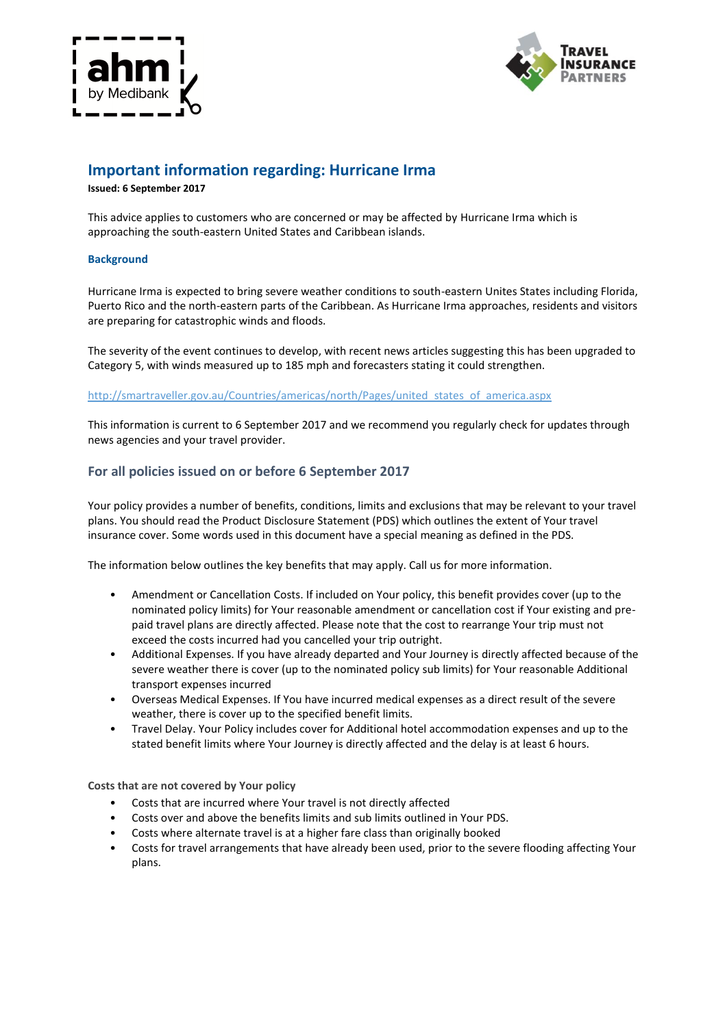



# **Important information regarding: Hurricane Irma**

**Issued: 6 September 2017**

This advice applies to customers who are concerned or may be affected by Hurricane Irma which is approaching the south-eastern United States and Caribbean islands.

### **Background**

Hurricane Irma is expected to bring severe weather conditions to south-eastern Unites States including Florida, Puerto Rico and the north-eastern parts of the Caribbean. As Hurricane Irma approaches, residents and visitors are preparing for catastrophic winds and floods.

The severity of the event continues to develop, with recent news articles suggesting this has been upgraded to Category 5, with winds measured up to 185 mph and forecasters stating it could strengthen.

[http://smartraveller.gov.au/Countries/americas/north/Pages/united\\_states\\_of\\_america.aspx](http://smartraveller.gov.au/Countries/americas/north/Pages/united_states_of_america.aspx)

This information is current to 6 September 2017 and we recommend you regularly check for updates through news agencies and your travel provider.

### **For all policies issued on or before 6 September 2017**

Your policy provides a number of benefits, conditions, limits and exclusions that may be relevant to your travel plans. You should read the Product Disclosure Statement (PDS) which outlines the extent of Your travel insurance cover. Some words used in this document have a special meaning as defined in the PDS.

The information below outlines the key benefits that may apply. Call us for more information.

- Amendment or Cancellation Costs. If included on Your policy, this benefit provides cover (up to the nominated policy limits) for Your reasonable amendment or cancellation cost if Your existing and prepaid travel plans are directly affected. Please note that the cost to rearrange Your trip must not exceed the costs incurred had you cancelled your trip outright.
- Additional Expenses. If you have already departed and Your Journey is directly affected because of the severe weather there is cover (up to the nominated policy sub limits) for Your reasonable Additional transport expenses incurred
- Overseas Medical Expenses. If You have incurred medical expenses as a direct result of the severe weather, there is cover up to the specified benefit limits.
- Travel Delay. Your Policy includes cover for Additional hotel accommodation expenses and up to the stated benefit limits where Your Journey is directly affected and the delay is at least 6 hours.

**Costs that are not covered by Your policy**

- Costs that are incurred where Your travel is not directly affected
- Costs over and above the benefits limits and sub limits outlined in Your PDS.
- Costs where alternate travel is at a higher fare class than originally booked
- Costs for travel arrangements that have already been used, prior to the severe flooding affecting Your plans.